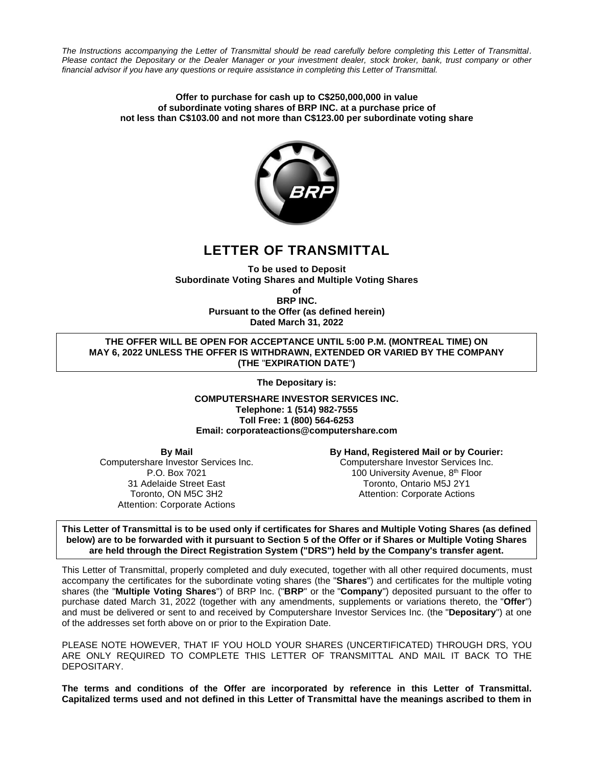*The Instructions accompanying the Letter of Transmittal should be read carefully before completing this Letter of Transmittal. Please contact the Depositary or the Dealer Manager or your investment dealer, stock broker, bank, trust company or other financial advisor if you have any questions or require assistance in completing this Letter of Transmittal.*

#### **Offer to purchase for cash up to C\$250,000,000 in value of subordinate voting shares of BRP INC. at a purchase price of not less than C\$103.00 and not more than C\$123.00 per subordinate voting share**



# **LETTER OF TRANSMITTAL**

**To be used to Deposit Subordinate Voting Shares and Multiple Voting Shares of**

**BRP INC. Pursuant to the Offer (as defined herein)**

**Dated March 31, 2022**

**THE OFFER WILL BE OPEN FOR ACCEPTANCE UNTIL 5:00 P.M. (MONTREAL TIME) ON MAY 6, 2022 UNLESS THE OFFER IS WITHDRAWN, EXTENDED OR VARIED BY THE COMPANY (THE** "**EXPIRATION DATE**"**)**

**The Depositary is:** 

**COMPUTERSHARE INVESTOR SERVICES INC. Telephone: 1 (514) 982-7555 Toll Free: 1 (800) 564-6253 Email: corporateactions@computershare.com**

**By Mail**

Computershare Investor Services Inc. P.O. Box 7021 31 Adelaide Street East Toronto, ON M5C 3H2 Attention: Corporate Actions

**By Hand, Registered Mail or by Courier:** Computershare Investor Services Inc. 100 University Avenue, 8<sup>th</sup> Floor Toronto, Ontario M5J 2Y1 Attention: Corporate Actions

**This Letter of Transmittal is to be used only if certificates for Shares and Multiple Voting Shares (as defined below) are to be forwarded with it pursuant to Section 5 of the Offer or if Shares or Multiple Voting Shares are held through the Direct Registration System ("DRS") held by the Company's transfer agent.**

This Letter of Transmittal, properly completed and duly executed, together with all other required documents, must accompany the certificates for the subordinate voting shares (the "**Shares**") and certificates for the multiple voting shares (the "**Multiple Voting Shares**") of BRP Inc. ("**BRP**" or the "**Company**") deposited pursuant to the offer to purchase dated March 31, 2022 (together with any amendments, supplements or variations thereto, the "**Offer**") and must be delivered or sent to and received by Computershare Investor Services Inc. (the "**Depositary**") at one of the addresses set forth above on or prior to the Expiration Date.

PLEASE NOTE HOWEVER, THAT IF YOU HOLD YOUR SHARES (UNCERTIFICATED) THROUGH DRS, YOU ARE ONLY REQUIRED TO COMPLETE THIS LETTER OF TRANSMITTAL AND MAIL IT BACK TO THE DEPOSITARY.

**The terms and conditions of the Offer are incorporated by reference in this Letter of Transmittal. Capitalized terms used and not defined in this Letter of Transmittal have the meanings ascribed to them in**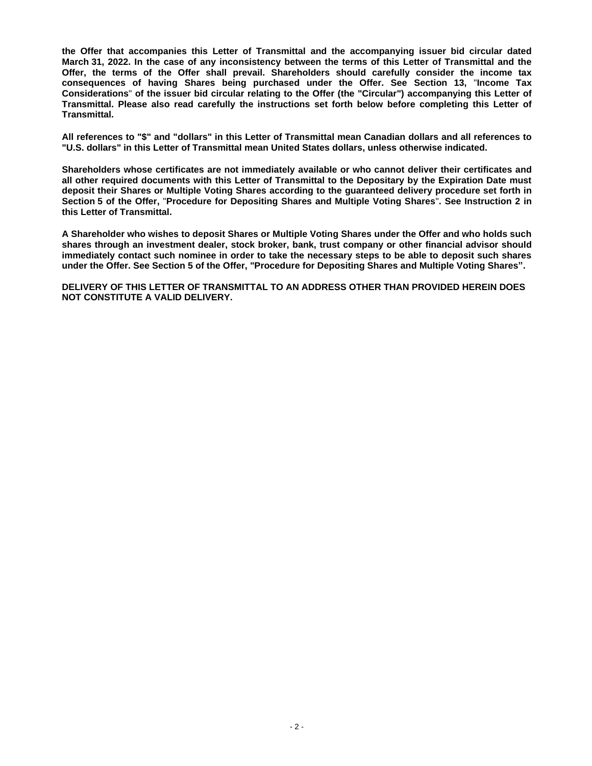**the Offer that accompanies this Letter of Transmittal and the accompanying issuer bid circular dated March 31, 2022. In the case of any inconsistency between the terms of this Letter of Transmittal and the Offer, the terms of the Offer shall prevail. Shareholders should carefully consider the income tax consequences of having Shares being purchased under the Offer. See Section 13,** "**Income Tax Considerations**" **of the issuer bid circular relating to the Offer (the "Circular") accompanying this Letter of Transmittal. Please also read carefully the instructions set forth below before completing this Letter of Transmittal.**

**All references to "\$" and "dollars" in this Letter of Transmittal mean Canadian dollars and all references to "U.S. dollars" in this Letter of Transmittal mean United States dollars, unless otherwise indicated.**

**Shareholders whose certificates are not immediately available or who cannot deliver their certificates and all other required documents with this Letter of Transmittal to the Depositary by the Expiration Date must deposit their Shares or Multiple Voting Shares according to the guaranteed delivery procedure set forth in Section 5 of the Offer,** "**Procedure for Depositing Shares and Multiple Voting Shares**"**. See Instruction 2 in this Letter of Transmittal.**

**A Shareholder who wishes to deposit Shares or Multiple Voting Shares under the Offer and who holds such shares through an investment dealer, stock broker, bank, trust company or other financial advisor should immediately contact such nominee in order to take the necessary steps to be able to deposit such shares under the Offer. See Section 5 of the Offer, "Procedure for Depositing Shares and Multiple Voting Shares".**

**DELIVERY OF THIS LETTER OF TRANSMITTAL TO AN ADDRESS OTHER THAN PROVIDED HEREIN DOES NOT CONSTITUTE A VALID DELIVERY.**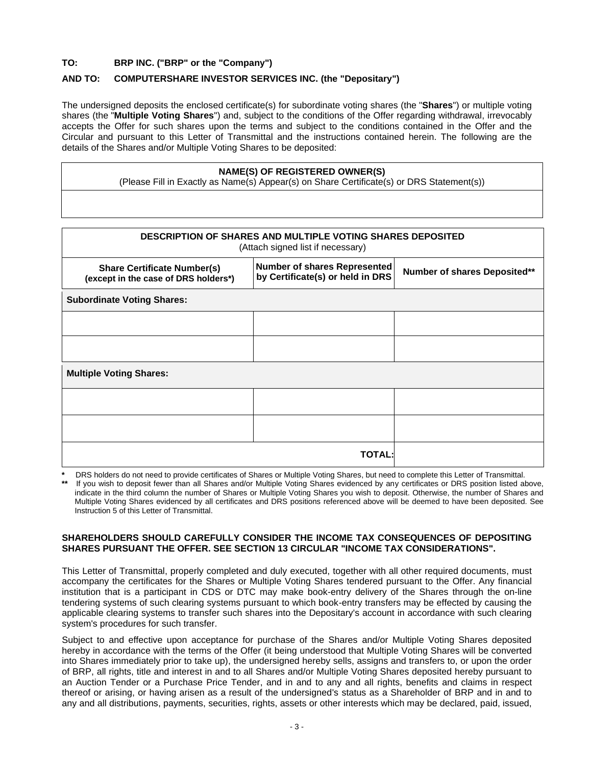# **TO: BRP INC. ("BRP" or the "Company")**

# **AND TO: COMPUTERSHARE INVESTOR SERVICES INC. (the "Depositary")**

The undersigned deposits the enclosed certificate(s) for subordinate voting shares (the "**Shares**") or multiple voting shares (the "**Multiple Voting Shares**") and, subject to the conditions of the Offer regarding withdrawal, irrevocably accepts the Offer for such shares upon the terms and subject to the conditions contained in the Offer and the Circular and pursuant to this Letter of Transmittal and the instructions contained herein. The following are the details of the Shares and/or Multiple Voting Shares to be deposited:

# **NAME(S) OF REGISTERED OWNER(S)**

(Please Fill in Exactly as Name(s) Appear(s) on Share Certificate(s) or DRS Statement(s))

| <b>DESCRIPTION OF SHARES AND MULTIPLE VOTING SHARES DEPOSITED</b><br>(Attach signed list if necessary) |                                                                         |                              |  |  |  |  |  |  |
|--------------------------------------------------------------------------------------------------------|-------------------------------------------------------------------------|------------------------------|--|--|--|--|--|--|
| <b>Share Certificate Number(s)</b><br>(except in the case of DRS holders*)                             | <b>Number of shares Represented</b><br>by Certificate(s) or held in DRS | Number of shares Deposited** |  |  |  |  |  |  |
| <b>Subordinate Voting Shares:</b>                                                                      |                                                                         |                              |  |  |  |  |  |  |
|                                                                                                        |                                                                         |                              |  |  |  |  |  |  |
|                                                                                                        |                                                                         |                              |  |  |  |  |  |  |
| <b>Multiple Voting Shares:</b>                                                                         |                                                                         |                              |  |  |  |  |  |  |
|                                                                                                        |                                                                         |                              |  |  |  |  |  |  |
|                                                                                                        |                                                                         |                              |  |  |  |  |  |  |
| <b>TOTAL:</b>                                                                                          |                                                                         |                              |  |  |  |  |  |  |

**\*** DRS holders do not need to provide certificates of Shares or Multiple Voting Shares, but need to complete this Letter of Transmittal. If you wish to deposit fewer than all Shares and/or Multiple Voting Shares evidenced by any certificates or DRS position listed above, indicate in the third column the number of Shares or Multiple Voting Shares you wish to deposit. Otherwise, the number of Shares and Multiple Voting Shares evidenced by all certificates and DRS positions referenced above will be deemed to have been deposited. See Instruction 5 of this Letter of Transmittal.

# **SHAREHOLDERS SHOULD CAREFULLY CONSIDER THE INCOME TAX CONSEQUENCES OF DEPOSITING SHARES PURSUANT THE OFFER. SEE SECTION 13 CIRCULAR "INCOME TAX CONSIDERATIONS".**

This Letter of Transmittal, properly completed and duly executed, together with all other required documents, must accompany the certificates for the Shares or Multiple Voting Shares tendered pursuant to the Offer. Any financial institution that is a participant in CDS or DTC may make book-entry delivery of the Shares through the on-line tendering systems of such clearing systems pursuant to which book-entry transfers may be effected by causing the applicable clearing systems to transfer such shares into the Depositary's account in accordance with such clearing system's procedures for such transfer.

Subject to and effective upon acceptance for purchase of the Shares and/or Multiple Voting Shares deposited hereby in accordance with the terms of the Offer (it being understood that Multiple Voting Shares will be converted into Shares immediately prior to take up), the undersigned hereby sells, assigns and transfers to, or upon the order of BRP, all rights, title and interest in and to all Shares and/or Multiple Voting Shares deposited hereby pursuant to an Auction Tender or a Purchase Price Tender, and in and to any and all rights, benefits and claims in respect thereof or arising, or having arisen as a result of the undersigned's status as a Shareholder of BRP and in and to any and all distributions, payments, securities, rights, assets or other interests which may be declared, paid, issued,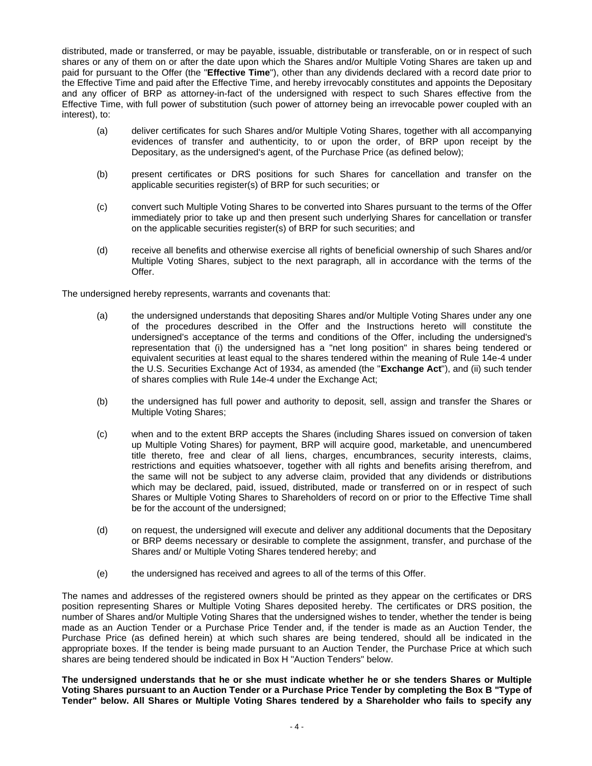distributed, made or transferred, or may be payable, issuable, distributable or transferable, on or in respect of such shares or any of them on or after the date upon which the Shares and/or Multiple Voting Shares are taken up and paid for pursuant to the Offer (the "**Effective Time**"), other than any dividends declared with a record date prior to the Effective Time and paid after the Effective Time, and hereby irrevocably constitutes and appoints the Depositary and any officer of BRP as attorney-in-fact of the undersigned with respect to such Shares effective from the Effective Time, with full power of substitution (such power of attorney being an irrevocable power coupled with an interest), to:

- (a) deliver certificates for such Shares and/or Multiple Voting Shares, together with all accompanying evidences of transfer and authenticity, to or upon the order, of BRP upon receipt by the Depositary, as the undersigned's agent, of the Purchase Price (as defined below);
- (b) present certificates or DRS positions for such Shares for cancellation and transfer on the applicable securities register(s) of BRP for such securities; or
- (c) convert such Multiple Voting Shares to be converted into Shares pursuant to the terms of the Offer immediately prior to take up and then present such underlying Shares for cancellation or transfer on the applicable securities register(s) of BRP for such securities; and
- (d) receive all benefits and otherwise exercise all rights of beneficial ownership of such Shares and/or Multiple Voting Shares, subject to the next paragraph, all in accordance with the terms of the Offer.

The undersigned hereby represents, warrants and covenants that:

- (a) the undersigned understands that depositing Shares and/or Multiple Voting Shares under any one of the procedures described in the Offer and the Instructions hereto will constitute the undersigned's acceptance of the terms and conditions of the Offer, including the undersigned's representation that (i) the undersigned has a "net long position" in shares being tendered or equivalent securities at least equal to the shares tendered within the meaning of Rule 14e-4 under the U.S. Securities Exchange Act of 1934, as amended (the "**Exchange Act**"), and (ii) such tender of shares complies with Rule 14e-4 under the Exchange Act;
- (b) the undersigned has full power and authority to deposit, sell, assign and transfer the Shares or Multiple Voting Shares;
- (c) when and to the extent BRP accepts the Shares (including Shares issued on conversion of taken up Multiple Voting Shares) for payment, BRP will acquire good, marketable, and unencumbered title thereto, free and clear of all liens, charges, encumbrances, security interests, claims, restrictions and equities whatsoever, together with all rights and benefits arising therefrom, and the same will not be subject to any adverse claim, provided that any dividends or distributions which may be declared, paid, issued, distributed, made or transferred on or in respect of such Shares or Multiple Voting Shares to Shareholders of record on or prior to the Effective Time shall be for the account of the undersigned;
- (d) on request, the undersigned will execute and deliver any additional documents that the Depositary or BRP deems necessary or desirable to complete the assignment, transfer, and purchase of the Shares and/ or Multiple Voting Shares tendered hereby; and
- (e) the undersigned has received and agrees to all of the terms of this Offer.

The names and addresses of the registered owners should be printed as they appear on the certificates or DRS position representing Shares or Multiple Voting Shares deposited hereby. The certificates or DRS position, the number of Shares and/or Multiple Voting Shares that the undersigned wishes to tender, whether the tender is being made as an Auction Tender or a Purchase Price Tender and, if the tender is made as an Auction Tender, the Purchase Price (as defined herein) at which such shares are being tendered, should all be indicated in the appropriate boxes. If the tender is being made pursuant to an Auction Tender, the Purchase Price at which such shares are being tendered should be indicated in Box H "Auction Tenders" below.

**The undersigned understands that he or she must indicate whether he or she tenders Shares or Multiple Voting Shares pursuant to an Auction Tender or a Purchase Price Tender by completing the Box B "Type of Tender" below. All Shares or Multiple Voting Shares tendered by a Shareholder who fails to specify any**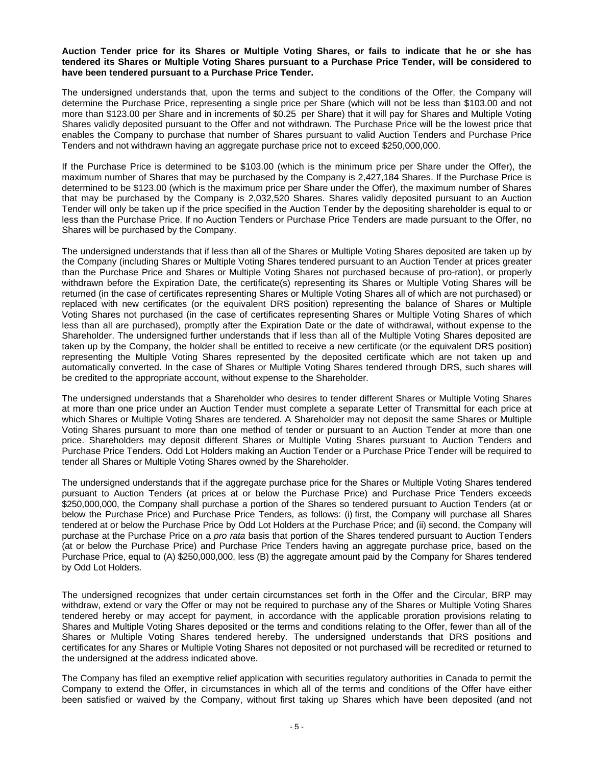#### **Auction Tender price for its Shares or Multiple Voting Shares, or fails to indicate that he or she has tendered its Shares or Multiple Voting Shares pursuant to a Purchase Price Tender, will be considered to have been tendered pursuant to a Purchase Price Tender.**

The undersigned understands that, upon the terms and subject to the conditions of the Offer, the Company will determine the Purchase Price, representing a single price per Share (which will not be less than \$103.00 and not more than \$123.00 per Share and in increments of \$0.25 per Share) that it will pay for Shares and Multiple Voting Shares validly deposited pursuant to the Offer and not withdrawn. The Purchase Price will be the lowest price that enables the Company to purchase that number of Shares pursuant to valid Auction Tenders and Purchase Price Tenders and not withdrawn having an aggregate purchase price not to exceed \$250,000,000.

If the Purchase Price is determined to be \$103.00 (which is the minimum price per Share under the Offer), the maximum number of Shares that may be purchased by the Company is 2,427,184 Shares. If the Purchase Price is determined to be \$123.00 (which is the maximum price per Share under the Offer), the maximum number of Shares that may be purchased by the Company is 2,032,520 Shares. Shares validly deposited pursuant to an Auction Tender will only be taken up if the price specified in the Auction Tender by the depositing shareholder is equal to or less than the Purchase Price. If no Auction Tenders or Purchase Price Tenders are made pursuant to the Offer, no Shares will be purchased by the Company.

The undersigned understands that if less than all of the Shares or Multiple Voting Shares deposited are taken up by the Company (including Shares or Multiple Voting Shares tendered pursuant to an Auction Tender at prices greater than the Purchase Price and Shares or Multiple Voting Shares not purchased because of pro-ration), or properly withdrawn before the Expiration Date, the certificate(s) representing its Shares or Multiple Voting Shares will be returned (in the case of certificates representing Shares or Multiple Voting Shares all of which are not purchased) or replaced with new certificates (or the equivalent DRS position) representing the balance of Shares or Multiple Voting Shares not purchased (in the case of certificates representing Shares or Multiple Voting Shares of which less than all are purchased), promptly after the Expiration Date or the date of withdrawal, without expense to the Shareholder. The undersigned further understands that if less than all of the Multiple Voting Shares deposited are taken up by the Company, the holder shall be entitled to receive a new certificate (or the equivalent DRS position) representing the Multiple Voting Shares represented by the deposited certificate which are not taken up and automatically converted. In the case of Shares or Multiple Voting Shares tendered through DRS, such shares will be credited to the appropriate account, without expense to the Shareholder.

The undersigned understands that a Shareholder who desires to tender different Shares or Multiple Voting Shares at more than one price under an Auction Tender must complete a separate Letter of Transmittal for each price at which Shares or Multiple Voting Shares are tendered. A Shareholder may not deposit the same Shares or Multiple Voting Shares pursuant to more than one method of tender or pursuant to an Auction Tender at more than one price. Shareholders may deposit different Shares or Multiple Voting Shares pursuant to Auction Tenders and Purchase Price Tenders. Odd Lot Holders making an Auction Tender or a Purchase Price Tender will be required to tender all Shares or Multiple Voting Shares owned by the Shareholder.

The undersigned understands that if the aggregate purchase price for the Shares or Multiple Voting Shares tendered pursuant to Auction Tenders (at prices at or below the Purchase Price) and Purchase Price Tenders exceeds \$250,000,000, the Company shall purchase a portion of the Shares so tendered pursuant to Auction Tenders (at or below the Purchase Price) and Purchase Price Tenders, as follows: (i) first, the Company will purchase all Shares tendered at or below the Purchase Price by Odd Lot Holders at the Purchase Price; and (ii) second, the Company will purchase at the Purchase Price on a *pro rata* basis that portion of the Shares tendered pursuant to Auction Tenders (at or below the Purchase Price) and Purchase Price Tenders having an aggregate purchase price, based on the Purchase Price, equal to (A) \$250,000,000, less (B) the aggregate amount paid by the Company for Shares tendered by Odd Lot Holders.

The undersigned recognizes that under certain circumstances set forth in the Offer and the Circular, BRP may withdraw, extend or vary the Offer or may not be required to purchase any of the Shares or Multiple Voting Shares tendered hereby or may accept for payment, in accordance with the applicable proration provisions relating to Shares and Multiple Voting Shares deposited or the terms and conditions relating to the Offer, fewer than all of the Shares or Multiple Voting Shares tendered hereby. The undersigned understands that DRS positions and certificates for any Shares or Multiple Voting Shares not deposited or not purchased will be recredited or returned to the undersigned at the address indicated above.

The Company has filed an exemptive relief application with securities regulatory authorities in Canada to permit the Company to extend the Offer, in circumstances in which all of the terms and conditions of the Offer have either been satisfied or waived by the Company, without first taking up Shares which have been deposited (and not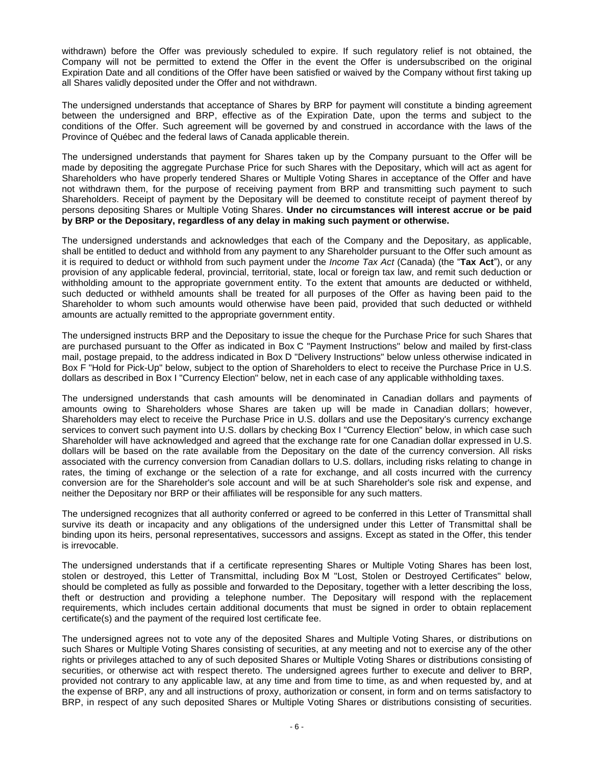withdrawn) before the Offer was previously scheduled to expire. If such regulatory relief is not obtained, the Company will not be permitted to extend the Offer in the event the Offer is undersubscribed on the original Expiration Date and all conditions of the Offer have been satisfied or waived by the Company without first taking up all Shares validly deposited under the Offer and not withdrawn.

The undersigned understands that acceptance of Shares by BRP for payment will constitute a binding agreement between the undersigned and BRP, effective as of the Expiration Date, upon the terms and subject to the conditions of the Offer. Such agreement will be governed by and construed in accordance with the laws of the Province of Québec and the federal laws of Canada applicable therein.

The undersigned understands that payment for Shares taken up by the Company pursuant to the Offer will be made by depositing the aggregate Purchase Price for such Shares with the Depositary, which will act as agent for Shareholders who have properly tendered Shares or Multiple Voting Shares in acceptance of the Offer and have not withdrawn them, for the purpose of receiving payment from BRP and transmitting such payment to such Shareholders. Receipt of payment by the Depositary will be deemed to constitute receipt of payment thereof by persons depositing Shares or Multiple Voting Shares. **Under no circumstances will interest accrue or be paid by BRP or the Depositary, regardless of any delay in making such payment or otherwise.**

The undersigned understands and acknowledges that each of the Company and the Depositary, as applicable, shall be entitled to deduct and withhold from any payment to any Shareholder pursuant to the Offer such amount as it is required to deduct or withhold from such payment under the *Income Tax Act* (Canada) (the "**Tax Act**"), or any provision of any applicable federal, provincial, territorial, state, local or foreign tax law, and remit such deduction or withholding amount to the appropriate government entity. To the extent that amounts are deducted or withheld, such deducted or withheld amounts shall be treated for all purposes of the Offer as having been paid to the Shareholder to whom such amounts would otherwise have been paid, provided that such deducted or withheld amounts are actually remitted to the appropriate government entity.

The undersigned instructs BRP and the Depositary to issue the cheque for the Purchase Price for such Shares that are purchased pursuant to the Offer as indicated in Box C "Payment Instructions" below and mailed by first-class mail, postage prepaid, to the address indicated in Box D "Delivery Instructions" below unless otherwise indicated in Box F "Hold for Pick-Up" below, subject to the option of Shareholders to elect to receive the Purchase Price in U.S. dollars as described in Box I "Currency Election" below, net in each case of any applicable withholding taxes.

The undersigned understands that cash amounts will be denominated in Canadian dollars and payments of amounts owing to Shareholders whose Shares are taken up will be made in Canadian dollars; however, Shareholders may elect to receive the Purchase Price in U.S. dollars and use the Depositary's currency exchange services to convert such payment into U.S. dollars by checking Box I "Currency Election" below, in which case such Shareholder will have acknowledged and agreed that the exchange rate for one Canadian dollar expressed in U.S. dollars will be based on the rate available from the Depositary on the date of the currency conversion. All risks associated with the currency conversion from Canadian dollars to U.S. dollars, including risks relating to change in rates, the timing of exchange or the selection of a rate for exchange, and all costs incurred with the currency conversion are for the Shareholder's sole account and will be at such Shareholder's sole risk and expense, and neither the Depositary nor BRP or their affiliates will be responsible for any such matters.

The undersigned recognizes that all authority conferred or agreed to be conferred in this Letter of Transmittal shall survive its death or incapacity and any obligations of the undersigned under this Letter of Transmittal shall be binding upon its heirs, personal representatives, successors and assigns. Except as stated in the Offer, this tender is irrevocable.

The undersigned understands that if a certificate representing Shares or Multiple Voting Shares has been lost, stolen or destroyed, this Letter of Transmittal, including Box M "Lost, Stolen or Destroyed Certificates" below, should be completed as fully as possible and forwarded to the Depositary, together with a letter describing the loss, theft or destruction and providing a telephone number. The Depositary will respond with the replacement requirements, which includes certain additional documents that must be signed in order to obtain replacement certificate(s) and the payment of the required lost certificate fee.

The undersigned agrees not to vote any of the deposited Shares and Multiple Voting Shares, or distributions on such Shares or Multiple Voting Shares consisting of securities, at any meeting and not to exercise any of the other rights or privileges attached to any of such deposited Shares or Multiple Voting Shares or distributions consisting of securities, or otherwise act with respect thereto. The undersigned agrees further to execute and deliver to BRP, provided not contrary to any applicable law, at any time and from time to time, as and when requested by, and at the expense of BRP, any and all instructions of proxy, authorization or consent, in form and on terms satisfactory to BRP, in respect of any such deposited Shares or Multiple Voting Shares or distributions consisting of securities.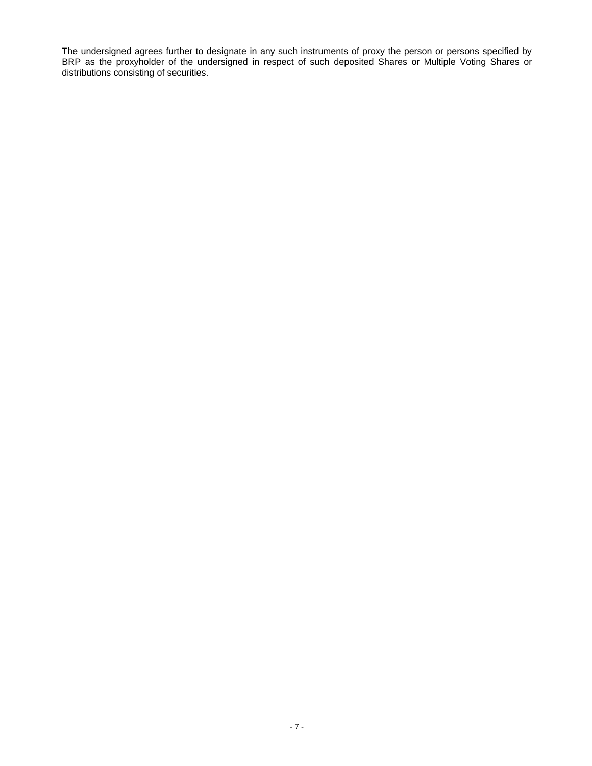The undersigned agrees further to designate in any such instruments of proxy the person or persons specified by BRP as the proxyholder of the undersigned in respect of such deposited Shares or Multiple Voting Shares or distributions consisting of securities.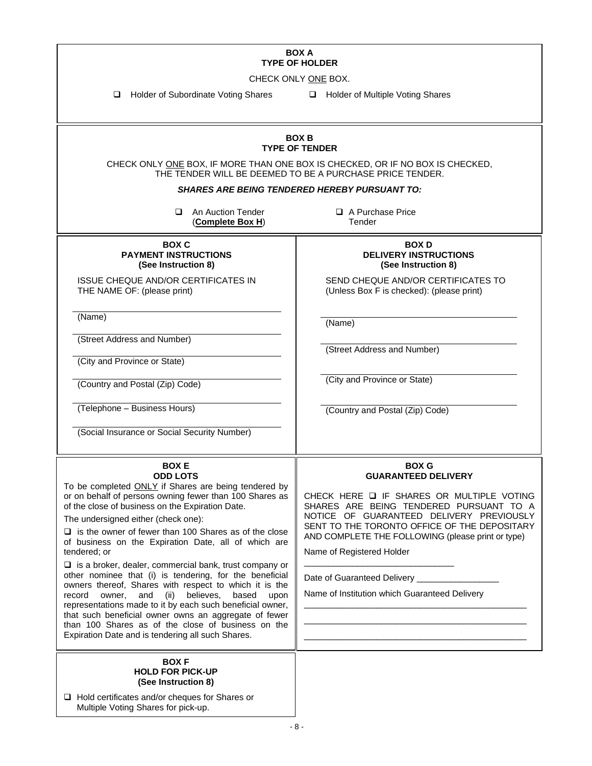# **BOX A TYPE OF HOLDER**

CHECK ONLY ONE BOX.

❑ Holder of Subordinate Voting Shares ❑ Holder of Multiple Voting Shares

| <b>BOX B</b><br><b>TYPE OF TENDER</b>                                                                                                                                                                                                                                                                                                                                                                                                                                                                                                                                                                                                                                                                                                                                                                                                                                        |                                                                                                                                                                                                                                                                                                                                                                                                       |  |  |  |  |  |  |
|------------------------------------------------------------------------------------------------------------------------------------------------------------------------------------------------------------------------------------------------------------------------------------------------------------------------------------------------------------------------------------------------------------------------------------------------------------------------------------------------------------------------------------------------------------------------------------------------------------------------------------------------------------------------------------------------------------------------------------------------------------------------------------------------------------------------------------------------------------------------------|-------------------------------------------------------------------------------------------------------------------------------------------------------------------------------------------------------------------------------------------------------------------------------------------------------------------------------------------------------------------------------------------------------|--|--|--|--|--|--|
| CHECK ONLY ONE BOX, IF MORE THAN ONE BOX IS CHECKED, OR IF NO BOX IS CHECKED,<br>THE TENDER WILL BE DEEMED TO BE A PURCHASE PRICE TENDER.                                                                                                                                                                                                                                                                                                                                                                                                                                                                                                                                                                                                                                                                                                                                    |                                                                                                                                                                                                                                                                                                                                                                                                       |  |  |  |  |  |  |
| <i>SHARES ARE BEING TENDERED HEREBY PURSUANT TO:</i>                                                                                                                                                                                                                                                                                                                                                                                                                                                                                                                                                                                                                                                                                                                                                                                                                         |                                                                                                                                                                                                                                                                                                                                                                                                       |  |  |  |  |  |  |
| An Auction Tender<br>□<br>(Complete Box H)                                                                                                                                                                                                                                                                                                                                                                                                                                                                                                                                                                                                                                                                                                                                                                                                                                   | A Purchase Price<br>Tender                                                                                                                                                                                                                                                                                                                                                                            |  |  |  |  |  |  |
| <b>BOX C</b><br><b>PAYMENT INSTRUCTIONS</b><br>(See Instruction 8)                                                                                                                                                                                                                                                                                                                                                                                                                                                                                                                                                                                                                                                                                                                                                                                                           | <b>BOXD</b><br><b>DELIVERY INSTRUCTIONS</b><br>(See Instruction 8)                                                                                                                                                                                                                                                                                                                                    |  |  |  |  |  |  |
| ISSUE CHEQUE AND/OR CERTIFICATES IN<br>THE NAME OF: (please print)                                                                                                                                                                                                                                                                                                                                                                                                                                                                                                                                                                                                                                                                                                                                                                                                           | SEND CHEQUE AND/OR CERTIFICATES TO<br>(Unless Box F is checked): (please print)                                                                                                                                                                                                                                                                                                                       |  |  |  |  |  |  |
| (Name)                                                                                                                                                                                                                                                                                                                                                                                                                                                                                                                                                                                                                                                                                                                                                                                                                                                                       | (Name)                                                                                                                                                                                                                                                                                                                                                                                                |  |  |  |  |  |  |
| (Street Address and Number)<br>(City and Province or State)                                                                                                                                                                                                                                                                                                                                                                                                                                                                                                                                                                                                                                                                                                                                                                                                                  | (Street Address and Number)                                                                                                                                                                                                                                                                                                                                                                           |  |  |  |  |  |  |
| (Country and Postal (Zip) Code)                                                                                                                                                                                                                                                                                                                                                                                                                                                                                                                                                                                                                                                                                                                                                                                                                                              | (City and Province or State)                                                                                                                                                                                                                                                                                                                                                                          |  |  |  |  |  |  |
| (Telephone - Business Hours)                                                                                                                                                                                                                                                                                                                                                                                                                                                                                                                                                                                                                                                                                                                                                                                                                                                 | (Country and Postal (Zip) Code)                                                                                                                                                                                                                                                                                                                                                                       |  |  |  |  |  |  |
| (Social Insurance or Social Security Number)                                                                                                                                                                                                                                                                                                                                                                                                                                                                                                                                                                                                                                                                                                                                                                                                                                 |                                                                                                                                                                                                                                                                                                                                                                                                       |  |  |  |  |  |  |
| <b>BOXE</b><br><b>ODD LOTS</b><br>To be completed ONLY if Shares are being tendered by<br>or on behalf of persons owning fewer than 100 Shares as<br>of the close of business on the Expiration Date.<br>The undersigned either (check one):<br>$\Box$ is the owner of fewer than 100 Shares as of the close<br>of business on the Expiration Date, all of which are<br>tendered; or<br>$\Box$ is a broker, dealer, commercial bank, trust company or<br>other nominee that (i) is tendering, for the beneficial<br>owners thereof, Shares with respect to which it is the<br>record<br>owner,<br>believes.<br>based<br>and<br>(ii)<br>upon<br>representations made to it by each such beneficial owner,<br>that such beneficial owner owns an aggregate of fewer<br>than 100 Shares as of the close of business on the<br>Expiration Date and is tendering all such Shares. | <b>BOX G</b><br><b>GUARANTEED DELIVERY</b><br>CHECK HERE Q IF SHARES OR MULTIPLE VOTING<br>SHARES ARE BEING TENDERED PURSUANT TO A<br>NOTICE OF GUARANTEED DELIVERY PREVIOUSLY<br>SENT TO THE TORONTO OFFICE OF THE DEPOSITARY<br>AND COMPLETE THE FOLLOWING (please print or type)<br>Name of Registered Holder<br>Date of Guaranteed Delivery ____<br>Name of Institution which Guaranteed Delivery |  |  |  |  |  |  |
| <b>BOXF</b><br><b>HOLD FOR PICK-UP</b><br>(See Instruction 8)<br>$\Box$ Hold certificates and/or cheques for Shares or<br>Multiple Voting Shares for pick-up.                                                                                                                                                                                                                                                                                                                                                                                                                                                                                                                                                                                                                                                                                                                |                                                                                                                                                                                                                                                                                                                                                                                                       |  |  |  |  |  |  |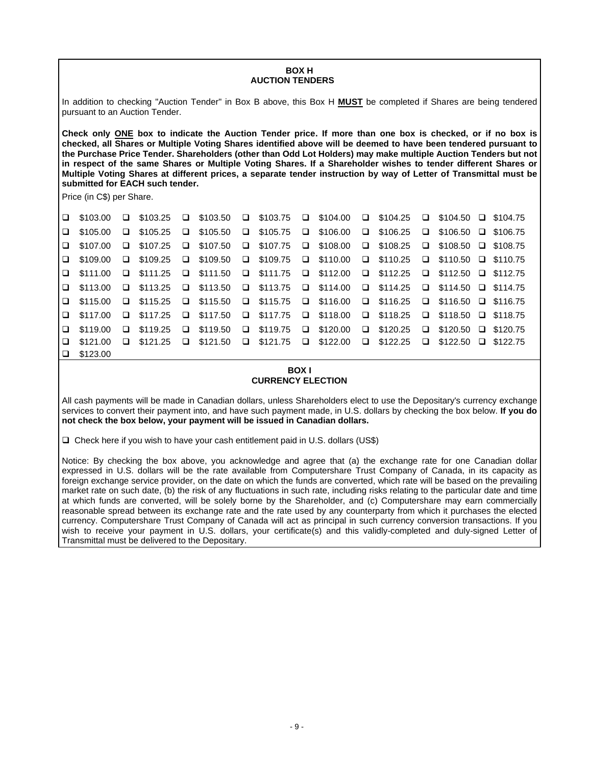#### **BOX H AUCTION TENDERS**

In addition to checking "Auction Tender" in Box B above, this Box H **MUST** be completed if Shares are being tendered pursuant to an Auction Tender.

**Check only ONE box to indicate the Auction Tender price. If more than one box is checked, or if no box is checked, all Shares or Multiple Voting Shares identified above will be deemed to have been tendered pursuant to the Purchase Price Tender. Shareholders (other than Odd Lot Holders) may make multiple Auction Tenders but not in respect of the same Shares or Multiple Voting Shares. If a Shareholder wishes to tender different Shares or Multiple Voting Shares at different prices, a separate tender instruction by way of Letter of Transmittal must be submitted for EACH such tender.**

Price (in C\$) per Share.

| $\Box$ \$103.00 $\Box$ \$103.25 $\Box$ \$103.50 $\Box$ \$103.75 $\Box$ \$104.00 $\Box$ \$104.25 $\Box$ \$104.50 $\Box$ \$104.75 |  |  |  |  |  |  |  |
|---------------------------------------------------------------------------------------------------------------------------------|--|--|--|--|--|--|--|
| $\Box$ \$105.00 $\Box$ \$105.25 $\Box$ \$105.50 $\Box$ \$105.75 $\Box$ \$106.00 $\Box$ \$106.25 $\Box$ \$106.50 $\Box$ \$106.75 |  |  |  |  |  |  |  |
| $\Box$ \$107.00 $\Box$ \$107.25 $\Box$ \$107.50 $\Box$ \$107.75 $\Box$ \$108.00 $\Box$ \$108.25 $\Box$ \$108.50 $\Box$ \$108.75 |  |  |  |  |  |  |  |
| $\Box$ \$109.00 $\Box$ \$109.25 $\Box$ \$109.50 $\Box$ \$109.75 $\Box$ \$110.00 $\Box$ \$110.25 $\Box$ \$110.50 $\Box$ \$110.75 |  |  |  |  |  |  |  |
| □ \$111.00 □ \$111.25 □ \$111.50 □ \$111.75 □ \$112.00 □ \$112.25 □ \$112.50 □ \$112.75                                         |  |  |  |  |  |  |  |
| □ \$113.00 □ \$113.25 □ \$113.50 □ \$113.75 □ \$114.00 □ \$114.25 □ \$114.50 □ \$114.75                                         |  |  |  |  |  |  |  |
| $\Box$ \$115.00 $\Box$ \$115.25 $\Box$ \$115.50 $\Box$ \$115.75 $\Box$ \$116.00 $\Box$ \$116.25 $\Box$ \$116.50 $\Box$ \$116.75 |  |  |  |  |  |  |  |
| □ \$117.00 □ \$117.25 □ \$117.50 □ \$117.75 □ \$118.00 □ \$118.25 □ \$118.50 □ \$118.75                                         |  |  |  |  |  |  |  |
| □ \$119.00 □ \$119.25 □ \$119.50 □ \$119.75 □ \$120.00 □ \$120.25 □ \$120.50 □ \$120.75                                         |  |  |  |  |  |  |  |
| $\Box$ \$121.00 $\Box$ \$121.25 $\Box$ \$121.50 $\Box$ \$121.75 $\Box$ \$122.00 $\Box$ \$122.25 $\Box$ \$122.50 $\Box$ \$122.75 |  |  |  |  |  |  |  |
| $\Box$ \$123.00                                                                                                                 |  |  |  |  |  |  |  |

#### **BOX I CURRENCY ELECTION**

All cash payments will be made in Canadian dollars, unless Shareholders elect to use the Depositary's currency exchange services to convert their payment into, and have such payment made, in U.S. dollars by checking the box below. **If you do not check the box below, your payment will be issued in Canadian dollars.**

❑ Check here if you wish to have your cash entitlement paid in U.S. dollars (US\$)

Notice: By checking the box above, you acknowledge and agree that (a) the exchange rate for one Canadian dollar expressed in U.S. dollars will be the rate available from Computershare Trust Company of Canada, in its capacity as foreign exchange service provider, on the date on which the funds are converted, which rate will be based on the prevailing market rate on such date, (b) the risk of any fluctuations in such rate, including risks relating to the particular date and time at which funds are converted, will be solely borne by the Shareholder, and (c) Computershare may earn commercially reasonable spread between its exchange rate and the rate used by any counterparty from which it purchases the elected currency. Computershare Trust Company of Canada will act as principal in such currency conversion transactions. If you wish to receive your payment in U.S. dollars, your certificate(s) and this validly-completed and duly-signed Letter of Transmittal must be delivered to the Depositary.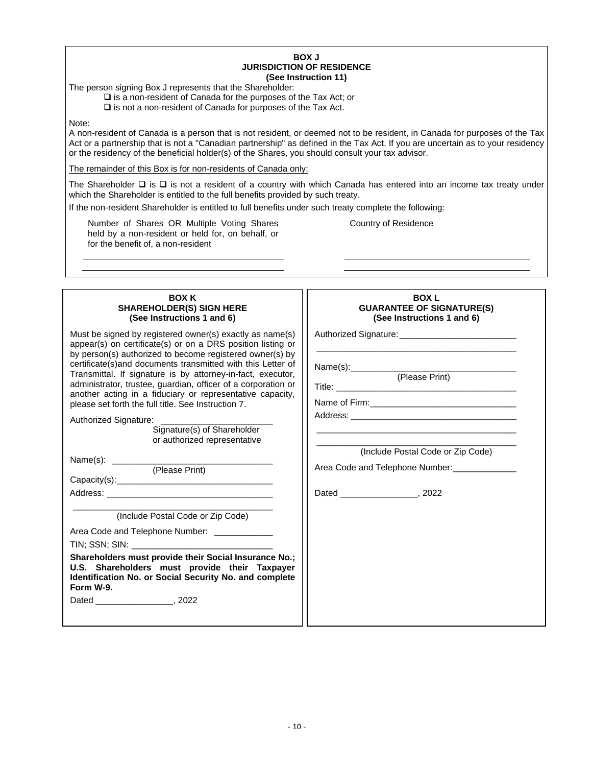#### **BOX J JURISDICTION OF RESIDENCE (See Instruction 11)**

The person signing Box J represents that the Shareholder:

❑ is a non-resident of Canada for the purposes of the Tax Act; or

❑ is not a non-resident of Canada for purposes of the Tax Act.

Note:

A non-resident of Canada is a person that is not resident, or deemed not to be resident, in Canada for purposes of the Tax Act or a partnership that is not a "Canadian partnership" as defined in the Tax Act. If you are uncertain as to your residency or the residency of the beneficial holder(s) of the Shares, you should consult your tax advisor.

The remainder of this Box is for non-residents of Canada only:

The Shareholder ❑ is ❑ is not a resident of a country with which Canada has entered into an income tax treaty under which the Shareholder is entitled to the full benefits provided by such treaty.

If the non-resident Shareholder is entitled to full benefits under such treaty complete the following:

Number of Shares OR Multiple Voting Shares held by a non-resident or held for, on behalf, or for the benefit of, a non-resident

Country of Residence

| <b>BOX K</b><br><b>SHAREHOLDER(S) SIGN HERE</b><br>(See Instructions 1 and 6)                                                                                                                                                                                                                                                                                                                                                                                                                                                                                                                   | <b>BOXL</b><br><b>GUARANTEE OF SIGNATURE(S)</b><br>(See Instructions 1 and 6) |  |  |  |  |
|-------------------------------------------------------------------------------------------------------------------------------------------------------------------------------------------------------------------------------------------------------------------------------------------------------------------------------------------------------------------------------------------------------------------------------------------------------------------------------------------------------------------------------------------------------------------------------------------------|-------------------------------------------------------------------------------|--|--|--|--|
| Must be signed by registered owner(s) exactly as name(s)<br>appear(s) on certificate(s) or on a DRS position listing or<br>by person(s) authorized to become registered owner(s) by<br>certificate(s) and documents transmitted with this Letter of<br>Transmittal. If signature is by attorney-in-fact, executor,<br>administrator, trustee, guardian, officer of a corporation or<br>another acting in a fiduciary or representative capacity,<br>please set forth the full title. See Instruction 7.<br>Authorized Signature:<br>Signature(s) of Shareholder<br>or authorized representative | Name(s):____________<br>(Please Print)<br>(Include Postal Code or Zip Code)   |  |  |  |  |
|                                                                                                                                                                                                                                                                                                                                                                                                                                                                                                                                                                                                 |                                                                               |  |  |  |  |
| (Please Print)                                                                                                                                                                                                                                                                                                                                                                                                                                                                                                                                                                                  | Area Code and Telephone Number: _____________                                 |  |  |  |  |
|                                                                                                                                                                                                                                                                                                                                                                                                                                                                                                                                                                                                 |                                                                               |  |  |  |  |
|                                                                                                                                                                                                                                                                                                                                                                                                                                                                                                                                                                                                 |                                                                               |  |  |  |  |
| (Include Postal Code or Zip Code)<br>Area Code and Telephone Number:<br>Shareholders must provide their Social Insurance No.;<br>U.S. Shareholders must provide their Taxpayer<br>Identification No. or Social Security No. and complete<br>Form W-9.                                                                                                                                                                                                                                                                                                                                           |                                                                               |  |  |  |  |
|                                                                                                                                                                                                                                                                                                                                                                                                                                                                                                                                                                                                 |                                                                               |  |  |  |  |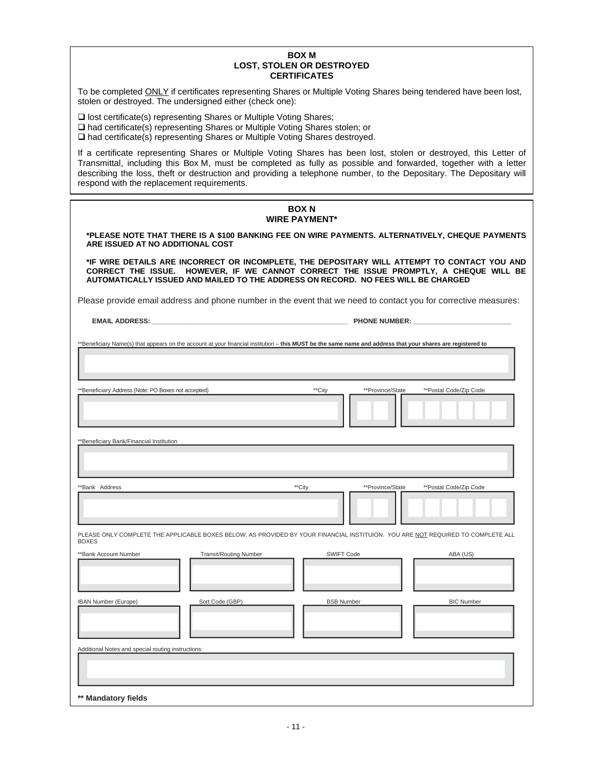#### **BOX M LOST, STOLEN OR DESTROYED CERTIFICATES**

To be completed ONLY if certificates representing Shares or Multiple Voting Shares being tendered have been lost, stolen or destroyed. The undersigned either (check one):

❑ lost certificate(s) representing Shares or Multiple Voting Shares; ❑ had certificate(s) representing Shares or Multiple Voting Shares stolen; or ❑ had certificate(s) representing Shares or Multiple Voting Shares destroyed.

If a certificate representing Shares or Multiple Voting Shares has been lost, stolen or destroyed, this Letter of Transmittal, including this Box M, must be completed as fully as possible and forwarded, together with a letter describing the loss, theft or destruction and providing a telephone number, to the Depositary. The Depositary will respond with the replacement requirements.

| <b>BOX N</b><br><b>WIRE PAYMENT*</b>                                                                                                                                                                                                                                       |                                               |                                                                                                                                 |                        |  |  |  |  |  |  |
|----------------------------------------------------------------------------------------------------------------------------------------------------------------------------------------------------------------------------------------------------------------------------|-----------------------------------------------|---------------------------------------------------------------------------------------------------------------------------------|------------------------|--|--|--|--|--|--|
| *PLEASE NOTE THAT THERE IS A \$100 BANKING FEE ON WIRE PAYMENTS. ALTERNATIVELY, CHEQUE PAYMENTS<br>ARE ISSUED AT NO ADDITIONAL COST                                                                                                                                        |                                               |                                                                                                                                 |                        |  |  |  |  |  |  |
| *IF WIRE DETAILS ARE INCORRECT OR INCOMPLETE, THE DEPOSITARY WILL ATTEMPT TO CONTACT YOU AND<br>CORRECT THE ISSUE. HOWEVER, IF WE CANNOT CORRECT THE ISSUE PROMPTLY, A CHEQUE WILL BE<br>AUTOMATICALLY ISSUED AND MAILED TO THE ADDRESS ON RECORD. NO FEES WILL BE CHARGED |                                               |                                                                                                                                 |                        |  |  |  |  |  |  |
| Please provide email address and phone number in the event that we need to contact you for corrective measures:                                                                                                                                                            |                                               |                                                                                                                                 |                        |  |  |  |  |  |  |
|                                                                                                                                                                                                                                                                            | <b>EMAIL ADDRESS:</b><br><b>PHONE NUMBER:</b> |                                                                                                                                 |                        |  |  |  |  |  |  |
| **Beneficiary Name(s) that appears on the account at your financial institution - this MUST be the same name and address that your shares are registered to                                                                                                                |                                               |                                                                                                                                 |                        |  |  |  |  |  |  |
| **Beneficiary Address (Note: PO Boxes not accepted)                                                                                                                                                                                                                        |                                               | **Province/State<br>**City                                                                                                      | **Postal Code/Zip Code |  |  |  |  |  |  |
|                                                                                                                                                                                                                                                                            | **Beneficiary Bank/Financial Institution      |                                                                                                                                 |                        |  |  |  |  |  |  |
| **Bank Address                                                                                                                                                                                                                                                             |                                               | **City<br>**Province/State                                                                                                      | **Postal Code/Zip Code |  |  |  |  |  |  |
| <b>BOXES</b>                                                                                                                                                                                                                                                               |                                               | PLEASE ONLY COMPLETE THE APPLICABLE BOXES BELOW, AS PROVIDED BY YOUR FINANCIAL INSTITUION. YOU ARE NOT REQUIRED TO COMPLETE ALL |                        |  |  |  |  |  |  |
| **Bank Account Number                                                                                                                                                                                                                                                      | <b>Transit/Routing Number</b>                 | <b>SWIFT Code</b>                                                                                                               | ABA (US)               |  |  |  |  |  |  |
| IBAN Number (Europe)                                                                                                                                                                                                                                                       | Sort Code (GBP)                               | <b>BSB Number</b>                                                                                                               | <b>BIC Number</b>      |  |  |  |  |  |  |
| Additional Notes and special routing instructions:<br>** Mandatory fields                                                                                                                                                                                                  |                                               |                                                                                                                                 |                        |  |  |  |  |  |  |
|                                                                                                                                                                                                                                                                            |                                               |                                                                                                                                 |                        |  |  |  |  |  |  |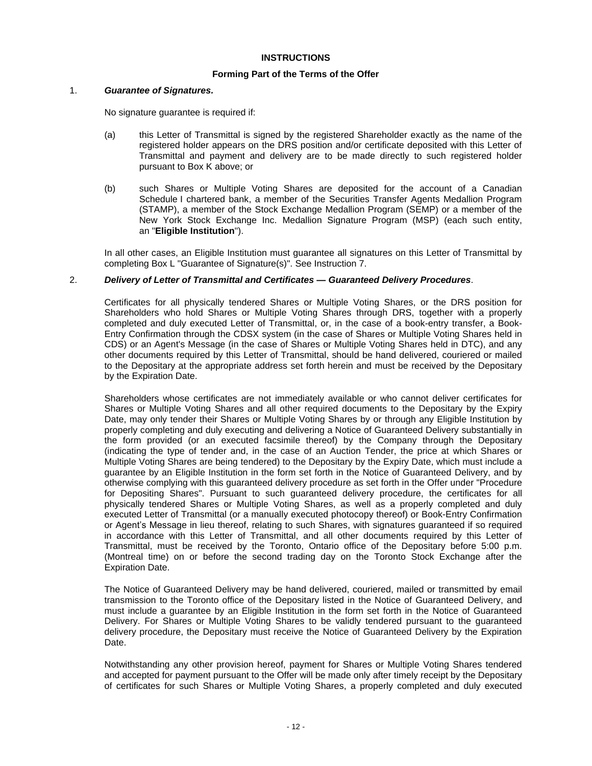# **INSTRUCTIONS**

# **Forming Part of the Terms of the Offer**

#### 1. *Guarantee of Signatures.*

No signature guarantee is required if:

- (a) this Letter of Transmittal is signed by the registered Shareholder exactly as the name of the registered holder appears on the DRS position and/or certificate deposited with this Letter of Transmittal and payment and delivery are to be made directly to such registered holder pursuant to Box K above; or
- (b) such Shares or Multiple Voting Shares are deposited for the account of a Canadian Schedule I chartered bank, a member of the Securities Transfer Agents Medallion Program (STAMP), a member of the Stock Exchange Medallion Program (SEMP) or a member of the New York Stock Exchange Inc. Medallion Signature Program (MSP) (each such entity, an "**Eligible Institution**").

In all other cases, an Eligible Institution must guarantee all signatures on this Letter of Transmittal by completing Box L "Guarantee of Signature(s)". See Instruction 7.

# 2. *Delivery of Letter of Transmittal and Certificates — Guaranteed Delivery Procedures*.

Certificates for all physically tendered Shares or Multiple Voting Shares, or the DRS position for Shareholders who hold Shares or Multiple Voting Shares through DRS, together with a properly completed and duly executed Letter of Transmittal, or, in the case of a book-entry transfer, a Book-Entry Confirmation through the CDSX system (in the case of Shares or Multiple Voting Shares held in CDS) or an Agent's Message (in the case of Shares or Multiple Voting Shares held in DTC), and any other documents required by this Letter of Transmittal, should be hand delivered, couriered or mailed to the Depositary at the appropriate address set forth herein and must be received by the Depositary by the Expiration Date.

Shareholders whose certificates are not immediately available or who cannot deliver certificates for Shares or Multiple Voting Shares and all other required documents to the Depositary by the Expiry Date, may only tender their Shares or Multiple Voting Shares by or through any Eligible Institution by properly completing and duly executing and delivering a Notice of Guaranteed Delivery substantially in the form provided (or an executed facsimile thereof) by the Company through the Depositary (indicating the type of tender and, in the case of an Auction Tender, the price at which Shares or Multiple Voting Shares are being tendered) to the Depositary by the Expiry Date, which must include a guarantee by an Eligible Institution in the form set forth in the Notice of Guaranteed Delivery, and by otherwise complying with this guaranteed delivery procedure as set forth in the Offer under "Procedure for Depositing Shares". Pursuant to such guaranteed delivery procedure, the certificates for all physically tendered Shares or Multiple Voting Shares, as well as a properly completed and duly executed Letter of Transmittal (or a manually executed photocopy thereof) or Book-Entry Confirmation or Agent's Message in lieu thereof, relating to such Shares, with signatures guaranteed if so required in accordance with this Letter of Transmittal, and all other documents required by this Letter of Transmittal, must be received by the Toronto, Ontario office of the Depositary before 5:00 p.m. (Montreal time) on or before the second trading day on the Toronto Stock Exchange after the Expiration Date.

The Notice of Guaranteed Delivery may be hand delivered, couriered, mailed or transmitted by email transmission to the Toronto office of the Depositary listed in the Notice of Guaranteed Delivery, and must include a guarantee by an Eligible Institution in the form set forth in the Notice of Guaranteed Delivery. For Shares or Multiple Voting Shares to be validly tendered pursuant to the guaranteed delivery procedure, the Depositary must receive the Notice of Guaranteed Delivery by the Expiration Date.

Notwithstanding any other provision hereof, payment for Shares or Multiple Voting Shares tendered and accepted for payment pursuant to the Offer will be made only after timely receipt by the Depositary of certificates for such Shares or Multiple Voting Shares, a properly completed and duly executed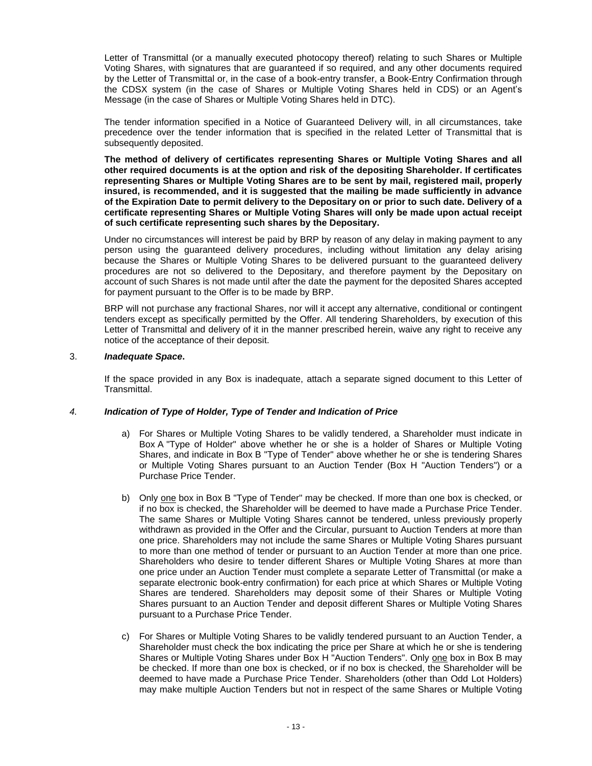Letter of Transmittal (or a manually executed photocopy thereof) relating to such Shares or Multiple Voting Shares, with signatures that are guaranteed if so required, and any other documents required by the Letter of Transmittal or, in the case of a book-entry transfer, a Book-Entry Confirmation through the CDSX system (in the case of Shares or Multiple Voting Shares held in CDS) or an Agent's Message (in the case of Shares or Multiple Voting Shares held in DTC).

The tender information specified in a Notice of Guaranteed Delivery will, in all circumstances, take precedence over the tender information that is specified in the related Letter of Transmittal that is subsequently deposited.

**The method of delivery of certificates representing Shares or Multiple Voting Shares and all other required documents is at the option and risk of the depositing Shareholder. If certificates representing Shares or Multiple Voting Shares are to be sent by mail, registered mail, properly insured, is recommended, and it is suggested that the mailing be made sufficiently in advance of the Expiration Date to permit delivery to the Depositary on or prior to such date. Delivery of a certificate representing Shares or Multiple Voting Shares will only be made upon actual receipt of such certificate representing such shares by the Depositary.**

Under no circumstances will interest be paid by BRP by reason of any delay in making payment to any person using the guaranteed delivery procedures, including without limitation any delay arising because the Shares or Multiple Voting Shares to be delivered pursuant to the guaranteed delivery procedures are not so delivered to the Depositary, and therefore payment by the Depositary on account of such Shares is not made until after the date the payment for the deposited Shares accepted for payment pursuant to the Offer is to be made by BRP.

BRP will not purchase any fractional Shares, nor will it accept any alternative, conditional or contingent tenders except as specifically permitted by the Offer. All tendering Shareholders, by execution of this Letter of Transmittal and delivery of it in the manner prescribed herein, waive any right to receive any notice of the acceptance of their deposit.

# 3. *Inadequate Space***.**

If the space provided in any Box is inadequate, attach a separate signed document to this Letter of Transmittal.

# *4. Indication of Type of Holder, Type of Tender and Indication of Price*

- a) For Shares or Multiple Voting Shares to be validly tendered, a Shareholder must indicate in Box A "Type of Holder" above whether he or she is a holder of Shares or Multiple Voting Shares, and indicate in Box B "Type of Tender" above whether he or she is tendering Shares or Multiple Voting Shares pursuant to an Auction Tender (Box H "Auction Tenders") or a Purchase Price Tender.
- b) Only one box in Box B "Type of Tender" may be checked. If more than one box is checked, or if no box is checked, the Shareholder will be deemed to have made a Purchase Price Tender. The same Shares or Multiple Voting Shares cannot be tendered, unless previously properly withdrawn as provided in the Offer and the Circular, pursuant to Auction Tenders at more than one price. Shareholders may not include the same Shares or Multiple Voting Shares pursuant to more than one method of tender or pursuant to an Auction Tender at more than one price. Shareholders who desire to tender different Shares or Multiple Voting Shares at more than one price under an Auction Tender must complete a separate Letter of Transmittal (or make a separate electronic book-entry confirmation) for each price at which Shares or Multiple Voting Shares are tendered. Shareholders may deposit some of their Shares or Multiple Voting Shares pursuant to an Auction Tender and deposit different Shares or Multiple Voting Shares pursuant to a Purchase Price Tender.
- c) For Shares or Multiple Voting Shares to be validly tendered pursuant to an Auction Tender, a Shareholder must check the box indicating the price per Share at which he or she is tendering Shares or Multiple Voting Shares under Box H "Auction Tenders". Only one box in Box B may be checked. If more than one box is checked, or if no box is checked, the Shareholder will be deemed to have made a Purchase Price Tender. Shareholders (other than Odd Lot Holders) may make multiple Auction Tenders but not in respect of the same Shares or Multiple Voting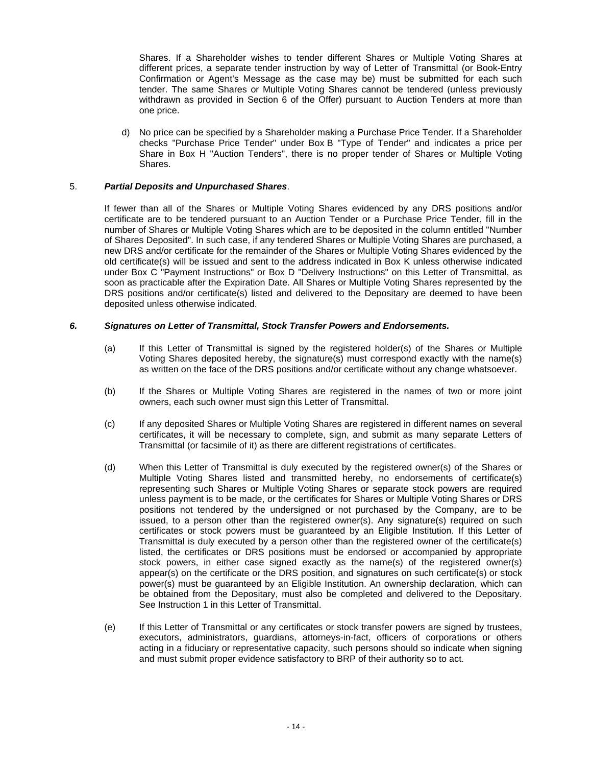Shares. If a Shareholder wishes to tender different Shares or Multiple Voting Shares at different prices, a separate tender instruction by way of Letter of Transmittal (or Book-Entry Confirmation or Agent's Message as the case may be) must be submitted for each such tender. The same Shares or Multiple Voting Shares cannot be tendered (unless previously withdrawn as provided in Section 6 of the Offer) pursuant to Auction Tenders at more than one price.

d) No price can be specified by a Shareholder making a Purchase Price Tender. If a Shareholder checks "Purchase Price Tender" under Box B "Type of Tender" and indicates a price per Share in Box H "Auction Tenders", there is no proper tender of Shares or Multiple Voting Shares.

# 5. *Partial Deposits and Unpurchased Shares*.

If fewer than all of the Shares or Multiple Voting Shares evidenced by any DRS positions and/or certificate are to be tendered pursuant to an Auction Tender or a Purchase Price Tender, fill in the number of Shares or Multiple Voting Shares which are to be deposited in the column entitled "Number of Shares Deposited". In such case, if any tendered Shares or Multiple Voting Shares are purchased, a new DRS and/or certificate for the remainder of the Shares or Multiple Voting Shares evidenced by the old certificate(s) will be issued and sent to the address indicated in Box K unless otherwise indicated under Box C "Payment Instructions" or Box D "Delivery Instructions" on this Letter of Transmittal, as soon as practicable after the Expiration Date. All Shares or Multiple Voting Shares represented by the DRS positions and/or certificate(s) listed and delivered to the Depositary are deemed to have been deposited unless otherwise indicated.

# *6. Signatures on Letter of Transmittal, Stock Transfer Powers and Endorsements.*

- (a) If this Letter of Transmittal is signed by the registered holder(s) of the Shares or Multiple Voting Shares deposited hereby, the signature(s) must correspond exactly with the name(s) as written on the face of the DRS positions and/or certificate without any change whatsoever.
- (b) If the Shares or Multiple Voting Shares are registered in the names of two or more joint owners, each such owner must sign this Letter of Transmittal.
- (c) If any deposited Shares or Multiple Voting Shares are registered in different names on several certificates, it will be necessary to complete, sign, and submit as many separate Letters of Transmittal (or facsimile of it) as there are different registrations of certificates.
- (d) When this Letter of Transmittal is duly executed by the registered owner(s) of the Shares or Multiple Voting Shares listed and transmitted hereby, no endorsements of certificate(s) representing such Shares or Multiple Voting Shares or separate stock powers are required unless payment is to be made, or the certificates for Shares or Multiple Voting Shares or DRS positions not tendered by the undersigned or not purchased by the Company, are to be issued, to a person other than the registered owner(s). Any signature(s) required on such certificates or stock powers must be guaranteed by an Eligible Institution. If this Letter of Transmittal is duly executed by a person other than the registered owner of the certificate(s) listed, the certificates or DRS positions must be endorsed or accompanied by appropriate stock powers, in either case signed exactly as the name(s) of the registered owner(s) appear(s) on the certificate or the DRS position, and signatures on such certificate(s) or stock power(s) must be guaranteed by an Eligible Institution. An ownership declaration, which can be obtained from the Depositary, must also be completed and delivered to the Depositary. See Instruction 1 in this Letter of Transmittal.
- (e) If this Letter of Transmittal or any certificates or stock transfer powers are signed by trustees, executors, administrators, guardians, attorneys-in-fact, officers of corporations or others acting in a fiduciary or representative capacity, such persons should so indicate when signing and must submit proper evidence satisfactory to BRP of their authority so to act.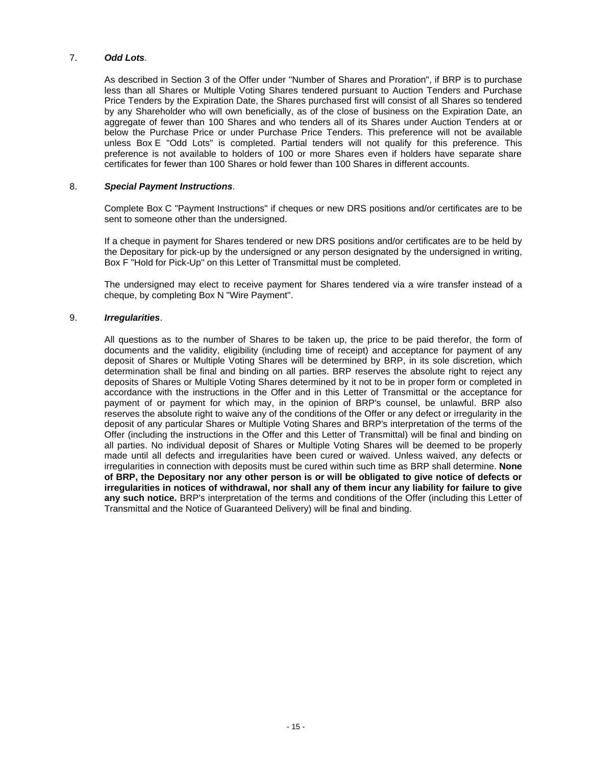# 7. *Odd Lots*.

As described in Section 3 of the Offer under "Number of Shares and Proration", if BRP is to purchase less than all Shares or Multiple Voting Shares tendered pursuant to Auction Tenders and Purchase Price Tenders by the Expiration Date, the Shares purchased first will consist of all Shares so tendered by any Shareholder who will own beneficially, as of the close of business on the Expiration Date, an aggregate of fewer than 100 Shares and who tenders all of its Shares under Auction Tenders at or below the Purchase Price or under Purchase Price Tenders. This preference will not be available unless Box E "Odd Lots" is completed. Partial tenders will not qualify for this preference. This preference is not available to holders of 100 or more Shares even if holders have separate share certificates for fewer than 100 Shares or hold fewer than 100 Shares in different accounts.

# 8. *Special Payment Instructions*.

Complete Box C "Payment Instructions" if cheques or new DRS positions and/or certificates are to be sent to someone other than the undersigned.

If a cheque in payment for Shares tendered or new DRS positions and/or certificates are to be held by the Depositary for pick-up by the undersigned or any person designated by the undersigned in writing, Box F "Hold for Pick-Up" on this Letter of Transmittal must be completed.

The undersigned may elect to receive payment for Shares tendered via a wire transfer instead of a cheque, by completing Box N "Wire Payment".

# 9. *Irregularities*.

All questions as to the number of Shares to be taken up, the price to be paid therefor, the form of documents and the validity, eligibility (including time of receipt) and acceptance for payment of any deposit of Shares or Multiple Voting Shares will be determined by BRP, in its sole discretion, which determination shall be final and binding on all parties. BRP reserves the absolute right to reject any deposits of Shares or Multiple Voting Shares determined by it not to be in proper form or completed in accordance with the instructions in the Offer and in this Letter of Transmittal or the acceptance for payment of or payment for which may, in the opinion of BRP's counsel, be unlawful. BRP also reserves the absolute right to waive any of the conditions of the Offer or any defect or irregularity in the deposit of any particular Shares or Multiple Voting Shares and BRP's interpretation of the terms of the Offer (including the instructions in the Offer and this Letter of Transmittal) will be final and binding on all parties. No individual deposit of Shares or Multiple Voting Shares will be deemed to be properly made until all defects and irregularities have been cured or waived. Unless waived, any defects or irregularities in connection with deposits must be cured within such time as BRP shall determine. **None of BRP, the Depositary nor any other person is or will be obligated to give notice of defects or irregularities in notices of withdrawal, nor shall any of them incur any liability for failure to give any such notice.** BRP's interpretation of the terms and conditions of the Offer (including this Letter of Transmittal and the Notice of Guaranteed Delivery) will be final and binding.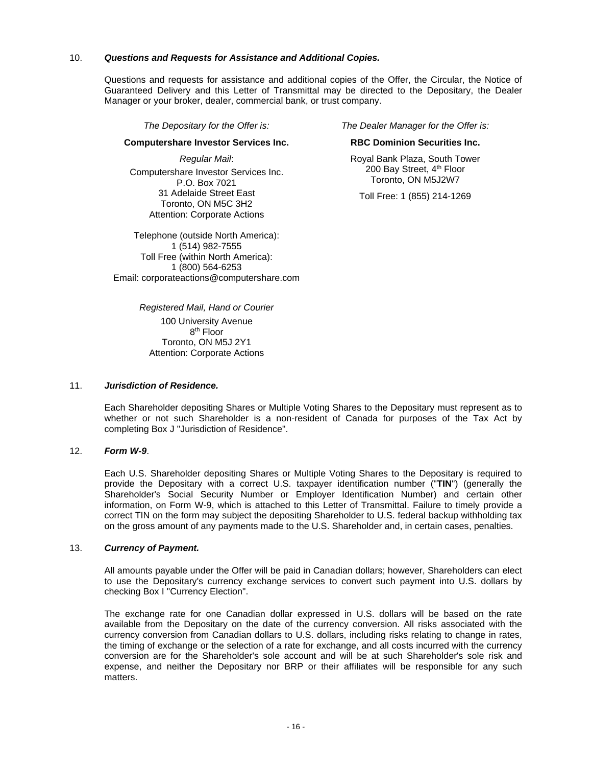# 10. *Questions and Requests for Assistance and Additional Copies.*

Questions and requests for assistance and additional copies of the Offer, the Circular, the Notice of Guaranteed Delivery and this Letter of Transmittal may be directed to the Depositary, the Dealer Manager or your broker, dealer, commercial bank, or trust company.

#### **Computershare Investor Services Inc. RBC Dominion Securities Inc.**

*Regular Mail*: Computershare Investor Services Inc. P.O. Box 7021 31 Adelaide Street East Toronto, ON M5C 3H2 Attention: Corporate Actions

Telephone (outside North America): 1 (514) 982-7555 Toll Free (within North America): 1 (800) 564-6253 Email: corporateactions@computershare.com

*The Depositary for the Offer is: The Dealer Manager for the Offer is:*

Royal Bank Plaza, South Tower 200 Bay Street, 4<sup>th</sup> Floor Toronto, ON M5J2W7

Toll Free: 1 (855) 214-1269

*Registered Mail, Hand or Courier* 100 University Avenue 8<sup>th</sup> Floor Toronto, ON M5J 2Y1 Attention: Corporate Actions

# 11. *Jurisdiction of Residence.*

Each Shareholder depositing Shares or Multiple Voting Shares to the Depositary must represent as to whether or not such Shareholder is a non-resident of Canada for purposes of the Tax Act by completing Box J "Jurisdiction of Residence".

# 12. *Form W-9*.

Each U.S. Shareholder depositing Shares or Multiple Voting Shares to the Depositary is required to provide the Depositary with a correct U.S. taxpayer identification number ("**TIN**") (generally the Shareholder's Social Security Number or Employer Identification Number) and certain other information, on Form W-9, which is attached to this Letter of Transmittal. Failure to timely provide a correct TIN on the form may subject the depositing Shareholder to U.S. federal backup withholding tax on the gross amount of any payments made to the U.S. Shareholder and, in certain cases, penalties.

# 13. *Currency of Payment.*

All amounts payable under the Offer will be paid in Canadian dollars; however, Shareholders can elect to use the Depositary's currency exchange services to convert such payment into U.S. dollars by checking Box I "Currency Election".

The exchange rate for one Canadian dollar expressed in U.S. dollars will be based on the rate available from the Depositary on the date of the currency conversion. All risks associated with the currency conversion from Canadian dollars to U.S. dollars, including risks relating to change in rates, the timing of exchange or the selection of a rate for exchange, and all costs incurred with the currency conversion are for the Shareholder's sole account and will be at such Shareholder's sole risk and expense, and neither the Depositary nor BRP or their affiliates will be responsible for any such matters.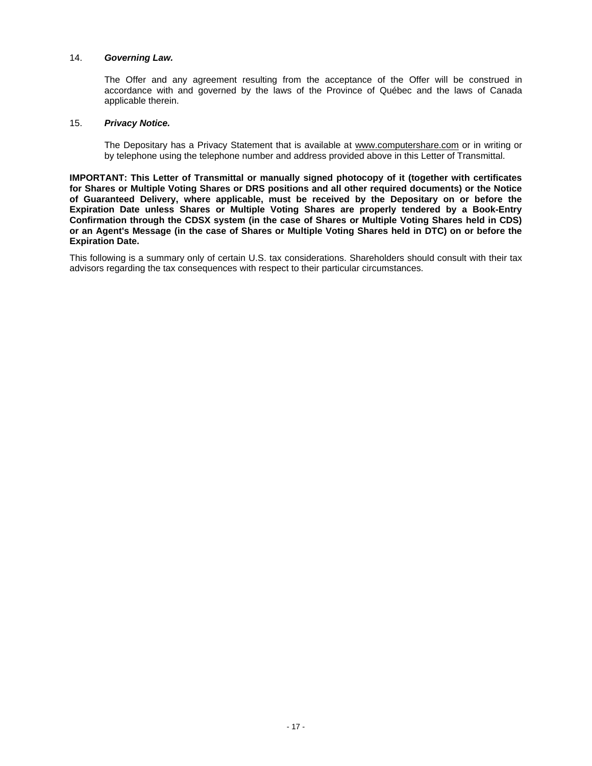# 14. *Governing Law.*

The Offer and any agreement resulting from the acceptance of the Offer will be construed in accordance with and governed by the laws of the Province of Québec and the laws of Canada applicable therein.

# 15. *Privacy Notice.*

The Depositary has a Privacy Statement that is available at www.computershare.com or in writing or by telephone using the telephone number and address provided above in this Letter of Transmittal.

**IMPORTANT: This Letter of Transmittal or manually signed photocopy of it (together with certificates for Shares or Multiple Voting Shares or DRS positions and all other required documents) or the Notice of Guaranteed Delivery, where applicable, must be received by the Depositary on or before the Expiration Date unless Shares or Multiple Voting Shares are properly tendered by a Book-Entry Confirmation through the CDSX system (in the case of Shares or Multiple Voting Shares held in CDS) or an Agent's Message (in the case of Shares or Multiple Voting Shares held in DTC) on or before the Expiration Date.**

This following is a summary only of certain U.S. tax considerations. Shareholders should consult with their tax advisors regarding the tax consequences with respect to their particular circumstances.